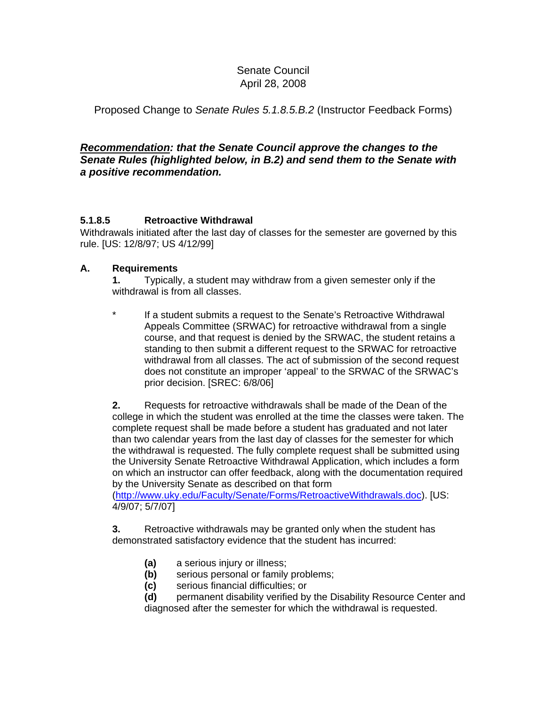# Senate Council April 28, 2008

Proposed Change to *Senate Rules 5.1.8.5.B.2* (Instructor Feedback Forms)

# *Recommendation: that the Senate Council approve the changes to the Senate Rules (highlighted below, in B.2) and send them to the Senate with a positive recommendation.*

# **5.1.8.5 Retroactive Withdrawal**

Withdrawals initiated after the last day of classes for the semester are governed by this rule. [US: 12/8/97; US 4/12/99]

#### **A. Requirements**

**1.** Typically, a student may withdraw from a given semester only if the withdrawal is from all classes.

If a student submits a request to the Senate's Retroactive Withdrawal Appeals Committee (SRWAC) for retroactive withdrawal from a single course, and that request is denied by the SRWAC, the student retains a standing to then submit a different request to the SRWAC for retroactive withdrawal from all classes. The act of submission of the second request does not constitute an improper 'appeal' to the SRWAC of the SRWAC's prior decision. [SREC: 6/8/06]

**2.** Requests for retroactive withdrawals shall be made of the Dean of the college in which the student was enrolled at the time the classes were taken. The complete request shall be made before a student has graduated and not later than two calendar years from the last day of classes for the semester for which the withdrawal is requested. The fully complete request shall be submitted using the University Senate Retroactive Withdrawal Application, which includes a form on which an instructor can offer feedback, along with the documentation required by the University Senate as described on that form

(http://www.uky.edu/Faculty/Senate/Forms/RetroactiveWithdrawals.doc). [US: 4/9/07; 5/7/07]

**3.** Retroactive withdrawals may be granted only when the student has demonstrated satisfactory evidence that the student has incurred:

- **(a)** a serious injury or illness;
- **(b)** serious personal or family problems;
- **(c)** serious financial difficulties; or

**(d)** permanent disability verified by the Disability Resource Center and diagnosed after the semester for which the withdrawal is requested.